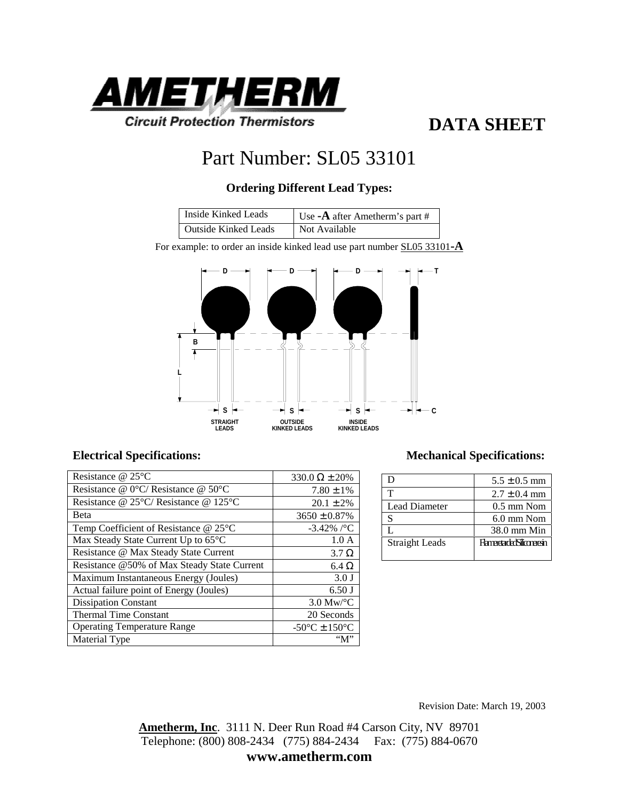

## **DATA SHEET**

# Part Number: SL05 33101

## **Ordering Different Lead Types:**

| Inside Kinked Leads         | Use $-A$ after Ametherm's part # |
|-----------------------------|----------------------------------|
| <b>Outside Kinked Leads</b> | Not Available                    |

For example: to order an inside kinked lead use part number SL05 33101**-A**



### **Electrical Specifications: Mechanical Specifications:**

| Resistance $@$ 25 $°C$                                    | $330.0 \Omega \pm 20\%$            |
|-----------------------------------------------------------|------------------------------------|
| Resistance @ 0°C/ Resistance @ 50°C                       | $7.80 \pm 1\%$                     |
| Resistance @ 25 $\degree$ C/ Resistance @ 125 $\degree$ C | $20.1 \pm 2\%$                     |
| Beta                                                      | $3650 \pm 0.87\%$                  |
| Temp Coefficient of Resistance @ 25°C                     | $-3.42\%$ /°C                      |
| Max Steady State Current Up to 65°C                       | 1.0A                               |
| Resistance @ Max Steady State Current                     | $3.7 \Omega$                       |
| Resistance @50% of Max Steady State Current               | $6.4\Omega$                        |
| Maximum Instantaneous Energy (Joules)                     | 3.0 J                              |
| Actual failure point of Energy (Joules)                   | $6.50$ J                           |
| <b>Dissipation Constant</b>                               | $3.0 \text{ Mw}$ <sup>o</sup> C    |
| <b>Thermal Time Constant</b>                              | 20 Seconds                         |
| <b>Operating Temperature Range</b>                        | $-50^{\circ}$ C ± 150 $^{\circ}$ C |
| Material Type                                             | "М"                                |

| I)                    | $5.5 \pm 0.5$ mm               |
|-----------------------|--------------------------------|
| т                     | $2.7 \pm 0.4$ mm               |
| Lead Diameter         | $0.5 \text{ mm}$ Nom           |
| S                     | $6.0$ mm Nom                   |
|                       | $38.0$ mm Min                  |
| <b>Straight Leads</b> | <b>FlameetadedSiliconeesin</b> |
|                       |                                |

Revision Date: March 19, 2003

**Ametherm, Inc**. 3111 N. Deer Run Road #4 Carson City, NV 89701 Telephone: (800) 808-2434 (775) 884-2434 Fax: (775) 884-0670 **www.ametherm.com**